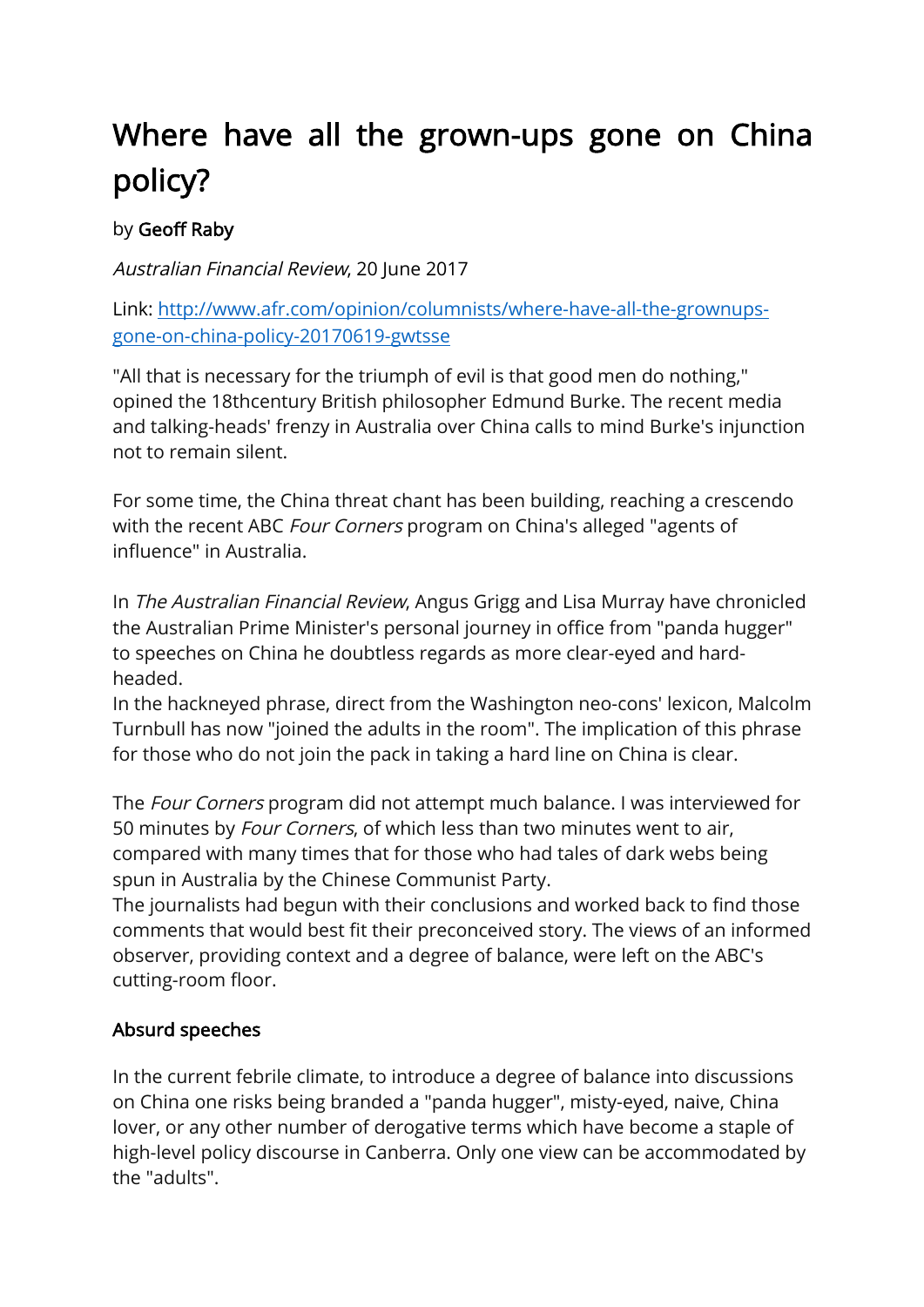# Where have all the grown-ups gone on China policy?

## by Geoff Raby

Australian Financial Review, 20 June 2017

Link: http://www.afr.com/opinion/columnists/where-have-all-the-grownupsgone-on-china-policy-20170619-gwtsse

"All that is necessary for the triumph of evil is that good men do nothing," opined the 18thcentury British philosopher Edmund Burke. The recent media and talking-heads' frenzy in Australia over China calls to mind Burke's injunction not to remain silent.

For some time, the China threat chant has been building, reaching a crescendo with the recent ABC *Four Corners* program on China's alleged "agents of influence" in Australia.

In The Australian Financial Review, Angus Grigg and Lisa Murray have chronicled the Australian Prime Minister's personal journey in office from "panda hugger" to speeches on China he doubtless regards as more clear-eyed and hardheaded.

In the hackneyed phrase, direct from the Washington neo-cons' lexicon, Malcolm Turnbull has now "joined the adults in the room". The implication of this phrase for those who do not join the pack in taking a hard line on China is clear.

The Four Corners program did not attempt much balance. I was interviewed for 50 minutes by Four Corners, of which less than two minutes went to air, compared with many times that for those who had tales of dark webs being spun in Australia by the Chinese Communist Party.

The journalists had begun with their conclusions and worked back to find those comments that would best fit their preconceived story. The views of an informed observer, providing context and a degree of balance, were left on the ABC's cutting-room floor.

### Absurd speeches

In the current febrile climate, to introduce a degree of balance into discussions on China one risks being branded a "panda hugger", misty-eyed, naive, China lover, or any other number of derogative terms which have become a staple of high-level policy discourse in Canberra. Only one view can be accommodated by the "adults".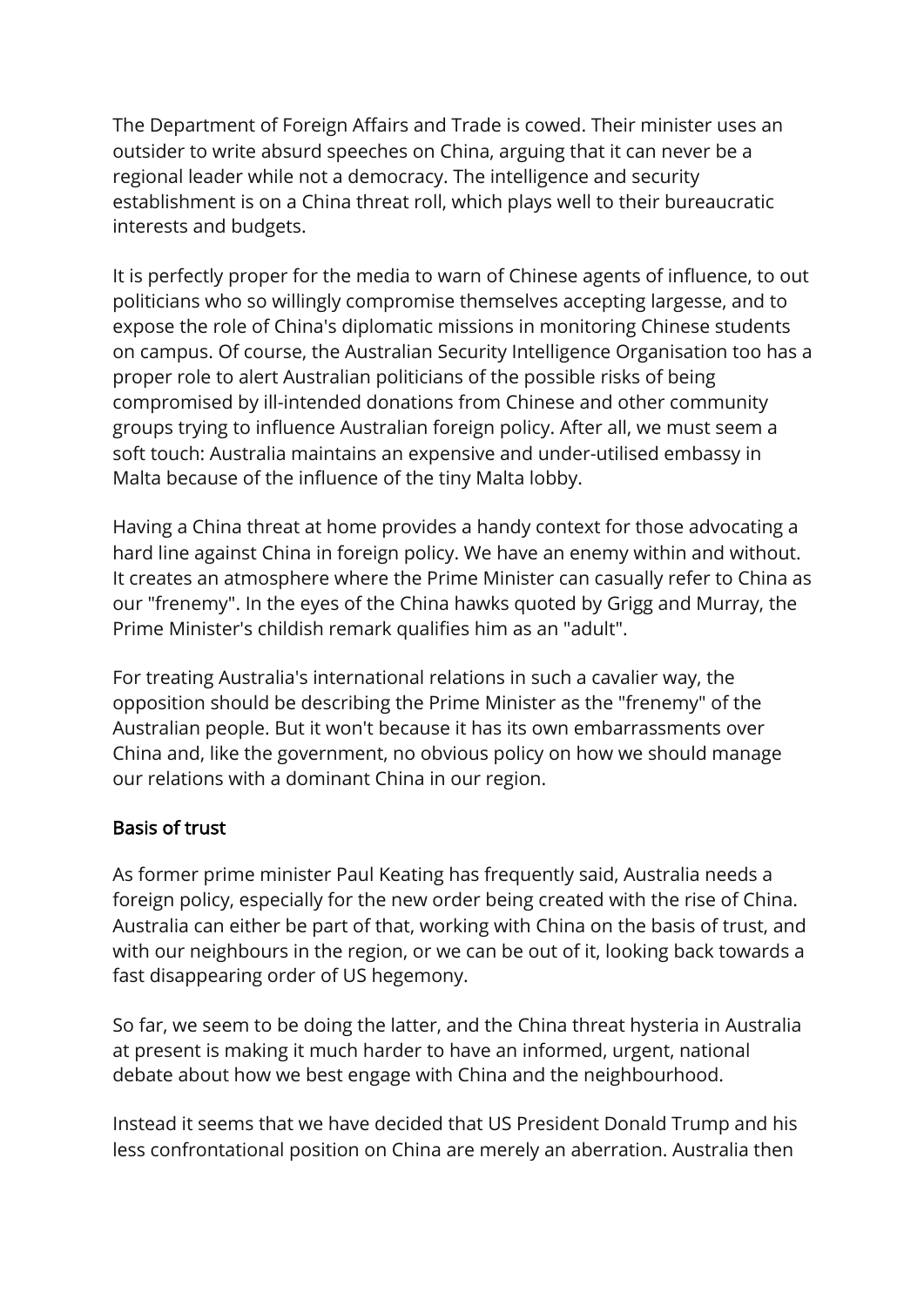The Department of Foreign Affairs and Trade is cowed. Their minister uses an outsider to write absurd speeches on China, arguing that it can never be a regional leader while not a democracy. The intelligence and security establishment is on a China threat roll, which plays well to their bureaucratic interests and budgets.

It is perfectly proper for the media to warn of Chinese agents of influence, to out politicians who so willingly compromise themselves accepting largesse, and to expose the role of China's diplomatic missions in monitoring Chinese students on campus. Of course, the Australian Security Intelligence Organisation too has a proper role to alert Australian politicians of the possible risks of being compromised by ill-intended donations from Chinese and other community groups trying to influence Australian foreign policy. After all, we must seem a soft touch: Australia maintains an expensive and under-utilised embassy in Malta because of the influence of the tiny Malta lobby.

Having a China threat at home provides a handy context for those advocating a hard line against China in foreign policy. We have an enemy within and without. It creates an atmosphere where the Prime Minister can casually refer to China as our "frenemy". In the eyes of the China hawks quoted by Grigg and Murray, the Prime Minister's childish remark qualifies him as an "adult".

For treating Australia's international relations in such a cavalier way, the opposition should be describing the Prime Minister as the "frenemy" of the Australian people. But it won't because it has its own embarrassments over China and, like the government, no obvious policy on how we should manage our relations with a dominant China in our region.

#### Basis of trust

As former prime minister Paul Keating has frequently said, Australia needs a foreign policy, especially for the new order being created with the rise of China. Australia can either be part of that, working with China on the basis of trust, and with our neighbours in the region, or we can be out of it, looking back towards a fast disappearing order of US hegemony.

So far, we seem to be doing the latter, and the China threat hysteria in Australia at present is making it much harder to have an informed, urgent, national debate about how we best engage with China and the neighbourhood.

Instead it seems that we have decided that US President Donald Trump and his less confrontational position on China are merely an aberration. Australia then